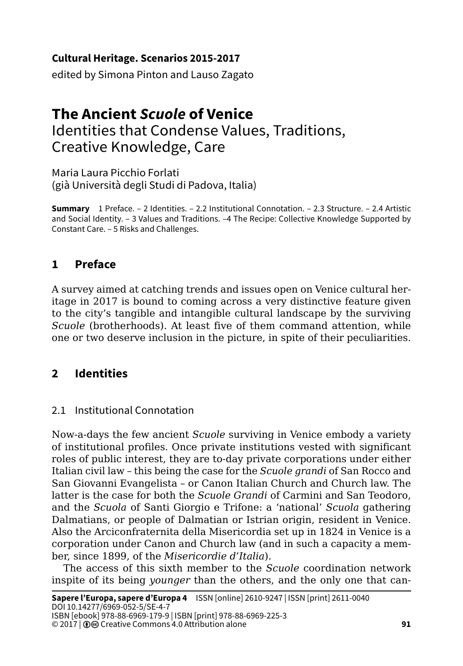### **Cultural Heritage. Scenarios 2015-2017**

edited by Simona Pinton and Lauso Zagato

# **The Ancient** *Scuole* **of Venice** Identities that Condense Values, Traditions, Creative Knowledge, Care

Maria Laura Picchio Forlati (già Università degli Studi di Padova, Italia)

**Summary** 1 Preface. – 2 Identities. – 2.2 Institutional Connotation. – 2.3 Structure. – 2.4 Artistic and Social Identity. – 3 Values and Traditions. –4 The Recipe: Collective Knowledge Supported by Constant Care. – 5 Risks and Challenges.

## **1 Preface**

A survey aimed at catching trends and issues open on Venice cultural heritage in 2017 is bound to coming across a very distinctive feature given to the city's tangible and intangible cultural landscape by the surviving *Scuole* (brotherhoods). At least five of them command attention, while one or two deserve inclusion in the picture, in spite of their peculiarities.

## **2 Identities**

## 2.1 Institutional Connotation

Now-a-days the few ancient *Scuole* surviving in Venice embody a variety of institutional profiles. Once private institutions vested with significant roles of public interest, they are to-day private corporations under either Italian civil law – this being the case for the *Scuole grandi* of San Rocco and San Giovanni Evangelista – or Canon Italian Church and Church law. The latter is the case for both the *Scuole Grandi* of Carmini and San Teodoro, and the *Scuola* of Santi Giorgio e Trifone: a 'national' *Scuola* gathering Dalmatians, or people of Dalmatian or Istrian origin, resident in Venice. Also the Arciconfraternita della Misericordia set up in 1824 in Venice is a corporation under Canon and Church law (and in such a capacity a member, since 1899, of the *Misericordie d'Italia*).

The access of this sixth member to the *Scuole* coordination network inspite of its being *younger* than the others, and the only one that can-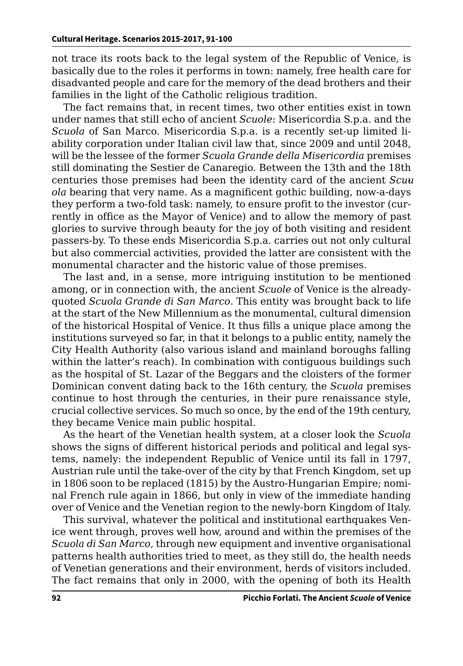not trace its roots back to the legal system of the Republic of Venice, is basically due to the roles it performs in town: namely, free health care for disadvanted people and care for the memory of the dead brothers and their families in the light of the Catholic religious tradition.

The fact remains that, in recent times, two other entities exist in town under names that still echo of ancient *Scuole*: Misericordia S.p.a. and the *Scuola* of San Marco. Misericordia S.p.a. is a recently set-up limited liability corporation under Italian civil law that, since 2009 and until 2048, will be the lessee of the former *Scuola Grande della Misericordia* premises still dominating the Sestier de Canaregio. Between the 13th and the 18th centuries those premises had been the identity card of the ancient *Scuu ola* bearing that very name. As a magnificent gothic building, now-a-days they perform a two-fold task: namely, to ensure profit to the investor (currently in office as the Mayor of Venice) and to allow the memory of past glories to survive through beauty for the joy of both visiting and resident passers-by. To these ends Misericordia S.p.a. carries out not only cultural but also commercial activities, provided the latter are consistent with the monumental character and the historic value of those premises.

The last and, in a sense, more intriguing institution to be mentioned among, or in connection with, the ancient *Scuole* of Venice is the alreadyquoted *Scuola Grande di San Marco*. This entity was brought back to life at the start of the New Millennium as the monumental, cultural dimension of the historical Hospital of Venice. It thus fills a unique place among the institutions surveyed so far, in that it belongs to a public entity, namely the City Health Authority (also various island and mainland boroughs falling within the latter's reach). In combination with contiguous buildings such as the hospital of St. Lazar of the Beggars and the cloisters of the former Dominican convent dating back to the 16th century, the *Scuola* premises continue to host through the centuries, in their pure renaissance style, crucial collective services. So much so once, by the end of the 19th century, they became Venice main public hospital.

As the heart of the Venetian health system, at a closer look the *Scuola* shows the signs of different historical periods and political and legal systems, namely: the independent Republic of Venice until its fall in 1797, Austrian rule until the take-over of the city by that French Kingdom, set up in 1806 soon to be replaced (1815) by the Austro-Hungarian Empire; nominal French rule again in 1866, but only in view of the immediate handing over of Venice and the Venetian region to the newly-born Kingdom of Italy.

This survival, whatever the political and institutional earthquakes Venice went through, proves well how, around and within the premises of the *Scuola di San Marco*, through new equipment and inventive organisational patterns health authorities tried to meet, as they still do, the health needs of Venetian generations and their environment, herds of visitors included. The fact remains that only in 2000, with the opening of both its Health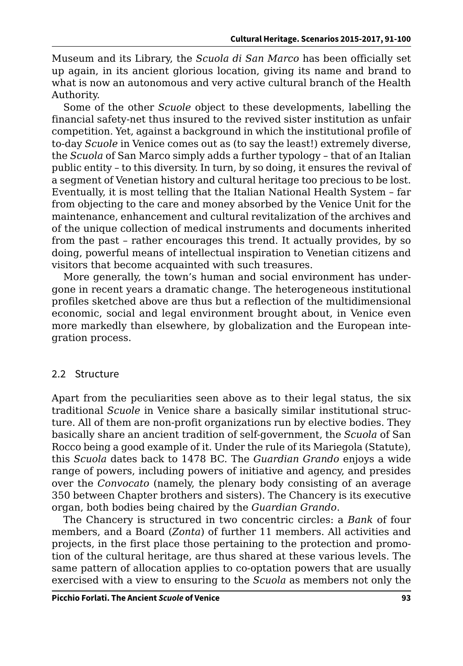Museum and its Library, the *Scuola di San Marco* has been officially set up again, in its ancient glorious location, giving its name and brand to what is now an autonomous and very active cultural branch of the Health Authority.

Some of the other *Scuole* object to these developments, labelling the financial safety-net thus insured to the revived sister institution as unfair competition. Yet, against a background in which the institutional profile of to-day *Scuole* in Venice comes out as (to say the least!) extremely diverse, the *Scuola* of San Marco simply adds a further typology – that of an Italian public entity – to this diversity. In turn, by so doing, it ensures the revival of a segment of Venetian history and cultural heritage too precious to be lost. Eventually, it is most telling that the Italian National Health System – far from objecting to the care and money absorbed by the Venice Unit for the maintenance, enhancement and cultural revitalization of the archives and of the unique collection of medical instruments and documents inherited from the past – rather encourages this trend. It actually provides, by so doing, powerful means of intellectual inspiration to Venetian citizens and visitors that become acquainted with such treasures.

More generally, the town's human and social environment has undergone in recent years a dramatic change. The heterogeneous institutional profiles sketched above are thus but a reflection of the multidimensional economic, social and legal environment brought about, in Venice even more markedly than elsewhere, by globalization and the European integration process.

#### 2.2 Structure

Apart from the peculiarities seen above as to their legal status, the six traditional *Scuole* in Venice share a basically similar institutional structure. All of them are non-profit organizations run by elective bodies. They basically share an ancient tradition of self-government, the *Scuola* of San Rocco being a good example of it. Under the rule of its Mariegola (Statute), this *Scuola* dates back to 1478 BC. The *Guardian Grando* enjoys a wide range of powers, including powers of initiative and agency, and presides over the *Convocato* (namely, the plenary body consisting of an average 350 between Chapter brothers and sisters). The Chancery is its executive organ, both bodies being chaired by the *Guardian Grando*.

The Chancery is structured in two concentric circles: a *Bank* of four members, and a Board (*Zonta*) of further 11 members. All activities and projects, in the first place those pertaining to the protection and promotion of the cultural heritage, are thus shared at these various levels. The same pattern of allocation applies to co-optation powers that are usually exercised with a view to ensuring to the *Scuola* as members not only the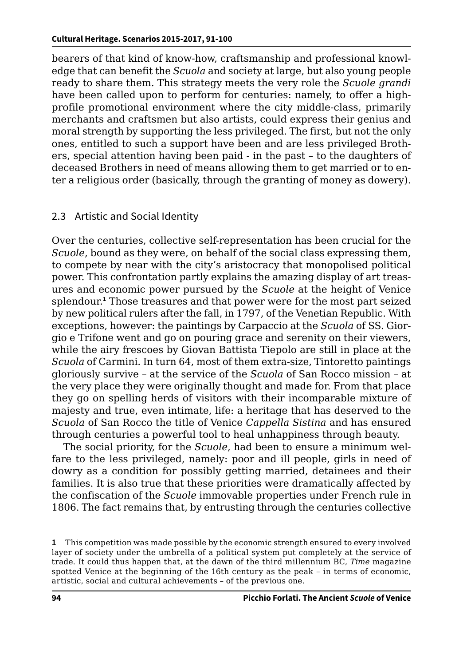bearers of that kind of know-how, craftsmanship and professional knowledge that can benefit the *Scuola* and society at large, but also young people ready to share them. This strategy meets the very role the *Scuole grandi* have been called upon to perform for centuries: namely, to offer a highprofile promotional environment where the city middle-class, primarily merchants and craftsmen but also artists, could express their genius and moral strength by supporting the less privileged. The first, but not the only ones, entitled to such a support have been and are less privileged Brothers, special attention having been paid - in the past – to the daughters of deceased Brothers in need of means allowing them to get married or to enter a religious order (basically, through the granting of money as dowery).

### 2.3 Artistic and Social Identity

Over the centuries, collective self-representation has been crucial for the *Scuole*, bound as they were, on behalf of the social class expressing them, to compete by near with the city's aristocracy that monopolised political power. This confrontation partly explains the amazing display of art treasures and economic power pursued by the *Scuole* at the height of Venice splendour.**<sup>1</sup>** Those treasures and that power were for the most part seized by new political rulers after the fall, in 1797, of the Venetian Republic. With exceptions, however: the paintings by Carpaccio at the *Scuola* of SS. Giorgio e Trifone went and go on pouring grace and serenity on their viewers, while the airy frescoes by Giovan Battista Tiepolo are still in place at the *Scuola* of Carmini*.* In turn 64, most of them extra-size, Tintoretto paintings gloriously survive – at the service of the *Scuola* of San Rocco mission – at the very place they were originally thought and made for. From that place they go on spelling herds of visitors with their incomparable mixture of majesty and true, even intimate, life: a heritage that has deserved to the *Scuola* of San Rocco the title of Venice *Cappella Sistina* and has ensured through centuries a powerful tool to heal unhappiness through beauty.

The social priority, for the *Scuole*, had been to ensure a minimum welfare to the less privileged, namely: poor and ill people, girls in need of dowry as a condition for possibly getting married, detainees and their families. It is also true that these priorities were dramatically affected by the confiscation of the *Scuole* immovable properties under French rule in 1806. The fact remains that, by entrusting through the centuries collective

**<sup>1</sup>** This competition was made possible by the economic strength ensured to every involved layer of society under the umbrella of a political system put completely at the service of trade. It could thus happen that, at the dawn of the third millennium BC, *Time* magazine spotted Venice at the beginning of the 16th century as the peak – in terms of economic, artistic, social and cultural achievements – of the previous one.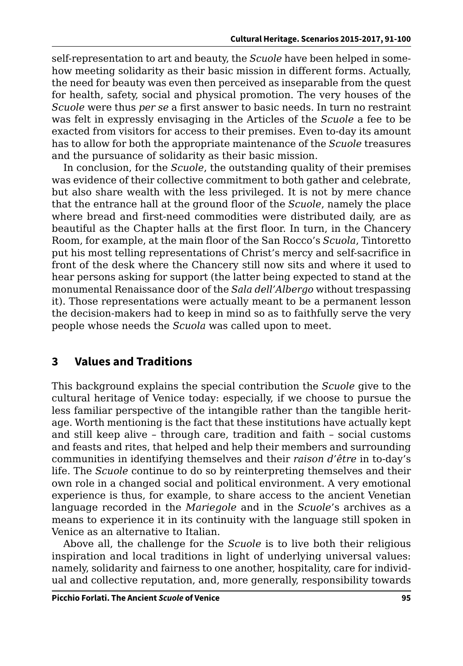self-representation to art and beauty, the *Scuole* have been helped in somehow meeting solidarity as their basic mission in different forms. Actually, the need for beauty was even then perceived as inseparable from the quest for health, safety, social and physical promotion. The very houses of the *Scuole* were thus *per se* a first answer to basic needs. In turn no restraint was felt in expressly envisaging in the Articles of the *Scuole* a fee to be exacted from visitors for access to their premises. Even to-day its amount has to allow for both the appropriate maintenance of the *Scuole* treasures and the pursuance of solidarity as their basic mission.

In conclusion, for the *Scuole*, the outstanding quality of their premises was evidence of their collective commitment to both gather and celebrate, but also share wealth with the less privileged. It is not by mere chance that the entrance hall at the ground floor of the *Scuole*, namely the place where bread and first-need commodities were distributed daily, are as beautiful as the Chapter halls at the first floor. In turn, in the Chancery Room, for example, at the main floor of the San Rocco's *Scuola*, Tintoretto put his most telling representations of Christ's mercy and self-sacrifice in front of the desk where the Chancery still now sits and where it used to hear persons asking for support (the latter being expected to stand at the monumental Renaissance door of the *Sala dell'Albergo* without trespassing it). Those representations were actually meant to be a permanent lesson the decision-makers had to keep in mind so as to faithfully serve the very people whose needs the *Scuola* was called upon to meet.

## **3 Values and Traditions**

This background explains the special contribution the *Scuole* give to the cultural heritage of Venice today: especially, if we choose to pursue the less familiar perspective of the intangible rather than the tangible heritage. Worth mentioning is the fact that these institutions have actually kept and still keep alive – through care, tradition and faith – social customs and feasts and rites, that helped and help their members and surrounding communities in identifying themselves and their *raison d'être* in to-day's life. The *Scuole* continue to do so by reinterpreting themselves and their own role in a changed social and political environment. A very emotional experience is thus, for example, to share access to the ancient Venetian language recorded in the *Mariegole* and in the *Scuole*'s archives as a means to experience it in its continuity with the language still spoken in Venice as an alternative to Italian.

Above all, the challenge for the *Scuole* is to live both their religious inspiration and local traditions in light of underlying universal values: namely, solidarity and fairness to one another, hospitality, care for individual and collective reputation, and, more generally, responsibility towards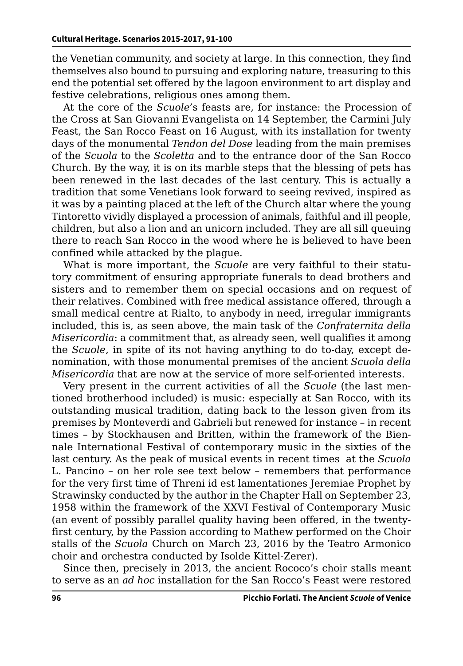the Venetian community, and society at large. In this connection, they find themselves also bound to pursuing and exploring nature, treasuring to this end the potential set offered by the lagoon environment to art display and festive celebrations, religious ones among them.

At the core of the *Scuole*'s feasts are, for instance: the Procession of the Cross at San Giovanni Evangelista on 14 September, the Carmini July Feast, the San Rocco Feast on 16 August, with its installation for twenty days of the monumental *Tendon del Dose* leading from the main premises of the *Scuola* to the *Scoletta* and to the entrance door of the San Rocco Church. By the way, it is on its marble steps that the blessing of pets has been renewed in the last decades of the last century. This is actually a tradition that some Venetians look forward to seeing revived, inspired as it was by a painting placed at the left of the Church altar where the young Tintoretto vividly displayed a procession of animals, faithful and ill people, children, but also a lion and an unicorn included. They are all sill queuing there to reach San Rocco in the wood where he is believed to have been confined while attacked by the plague.

What is more important, the *Scuole* are very faithful to their statutory commitment of ensuring appropriate funerals to dead brothers and sisters and to remember them on special occasions and on request of their relatives. Combined with free medical assistance offered, through a small medical centre at Rialto, to anybody in need, irregular immigrants included, this is, as seen above, the main task of the *Confraternita della Misericordia*: a commitment that, as already seen, well qualifies it among the *Scuole*, in spite of its not having anything to do to-day, except denomination, with those monumental premises of the ancient *Scuola della Misericordia* that are now at the service of more self-oriented interests.

Very present in the current activities of all the *Scuole* (the last mentioned brotherhood included) is music: especially at San Rocco, with its outstanding musical tradition, dating back to the lesson given from its premises by Monteverdi and Gabrieli but renewed for instance – in recent times – by Stockhausen and Britten, within the framework of the Biennale International Festival of contemporary music in the sixties of the last century. As the peak of musical events in recent times at the *Scuola* L. Pancino – on her role see text below – remembers that performance for the very first time of Threni id est lamentationes Jeremiae Prophet by Strawinsky conducted by the author in the Chapter Hall on September 23, 1958 within the framework of the XXVI Festival of Contemporary Music (an event of possibly parallel quality having been offered, in the twentyfirst century, by the Passion according to Mathew performed on the Choir stalls of the *Scuola* Church on March 23, 2016 by the Teatro Armonico choir and orchestra conducted by Isolde Kittel-Zerer).

Since then, precisely in 2013, the ancient Rococo's choir stalls meant to serve as an *ad hoc* installation for the San Rocco's Feast were restored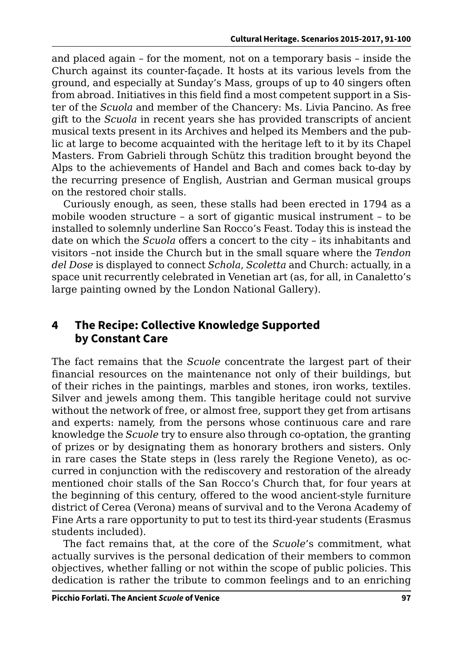and placed again – for the moment, not on a temporary basis – inside the Church against its counter-façade. It hosts at its various levels from the ground, and especially at Sunday's Mass, groups of up to 40 singers often from abroad. Initiatives in this field find a most competent support in a Sister of the *Scuola* and member of the Chancery: Ms. Livia Pancino. As free gift to the *Scuola* in recent years she has provided transcripts of ancient musical texts present in its Archives and helped its Members and the public at large to become acquainted with the heritage left to it by its Chapel Masters. From Gabrieli through Schütz this tradition brought beyond the Alps to the achievements of Handel and Bach and comes back to-day by the recurring presence of English, Austrian and German musical groups on the restored choir stalls.

Curiously enough, as seen, these stalls had been erected in 1794 as a mobile wooden structure – a sort of gigantic musical instrument – to be installed to solemnly underline San Rocco's Feast. Today this is instead the date on which the *Scuola* offers a concert to the city – its inhabitants and visitors –not inside the Church but in the small square where the *Tendon del Dose* is displayed to connect *Schola*, *Scoletta* and Church: actually, in a space unit recurrently celebrated in Venetian art (as, for all, in Canaletto's large painting owned by the London National Gallery).

## **4 The Recipe: Collective Knowledge Supported by Constant Care**

The fact remains that the *Scuole* concentrate the largest part of their financial resources on the maintenance not only of their buildings, but of their riches in the paintings, marbles and stones, iron works, textiles. Silver and jewels among them. This tangible heritage could not survive without the network of free, or almost free, support they get from artisans and experts: namely, from the persons whose continuous care and rare knowledge the *Scuole* try to ensure also through co-optation, the granting of prizes or by designating them as honorary brothers and sisters. Only in rare cases the State steps in (less rarely the Regione Veneto), as occurred in conjunction with the rediscovery and restoration of the already mentioned choir stalls of the San Rocco's Church that, for four years at the beginning of this century, offered to the wood ancient-style furniture district of Cerea (Verona) means of survival and to the Verona Academy of Fine Arts a rare opportunity to put to test its third-year students (Erasmus students included).

The fact remains that, at the core of the *Scuole*'s commitment, what actually survives is the personal dedication of their members to common objectives, whether falling or not within the scope of public policies. This dedication is rather the tribute to common feelings and to an enriching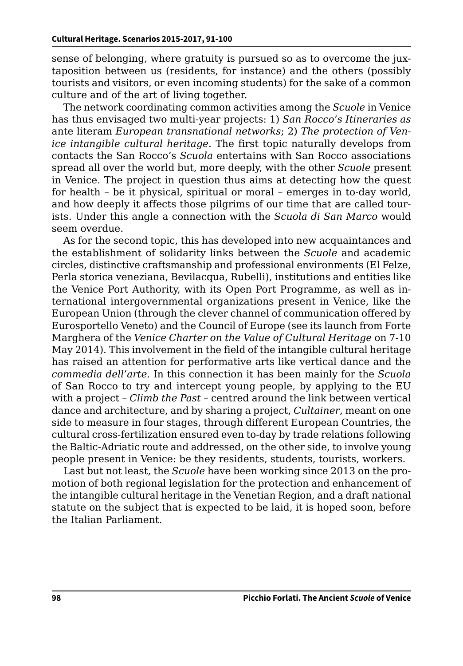sense of belonging, where gratuity is pursued so as to overcome the juxtaposition between us (residents, for instance) and the others (possibly tourists and visitors, or even incoming students) for the sake of a common culture and of the art of living together.

The network coordinating common activities among the *Scuole* in Venice has thus envisaged two multi-year projects: 1) *San Rocco's Itineraries as*  ante literam *European transnational networks*; 2) *The protection of Venice intangible cultural heritage.* The first topic naturally develops from contacts the San Rocco's *Scuola* entertains with San Rocco associations spread all over the world but, more deeply, with the other *Scuole* present in Venice. The project in question thus aims at detecting how the quest for health – be it physical, spiritual or moral – emerges in to-day world, and how deeply it affects those pilgrims of our time that are called tourists. Under this angle a connection with the *Scuola di San Marco* would seem overdue.

As for the second topic, this has developed into new acquaintances and the establishment of solidarity links between the *Scuole* and academic circles, distinctive craftsmanship and professional environments (El Felze, Perla storica veneziana, Bevilacqua, Rubelli), institutions and entities like the Venice Port Authority, with its Open Port Programme, as well as international intergovernmental organizations present in Venice, like the European Union (through the clever channel of communication offered by Eurosportello Veneto) and the Council of Europe (see its launch from Forte Marghera of the *Venice Charter on the Value of Cultural Heritage* on 7-10 May 2014). This involvement in the field of the intangible cultural heritage has raised an attention for performative arts like vertical dance and the *commedia dell'arte*. In this connection it has been mainly for the *Scuola* of San Rocco to try and intercept young people, by applying to the EU with a project – *Climb the Past* – centred around the link between vertical dance and architecture, and by sharing a project, *Cultainer*, meant on one side to measure in four stages, through different European Countries, the cultural cross-fertilization ensured even to-day by trade relations following the Baltic-Adriatic route and addressed, on the other side, to involve young people present in Venice: be they residents, students, tourists, workers.

Last but not least, the *Scuole* have been working since 2013 on the promotion of both regional legislation for the protection and enhancement of the intangible cultural heritage in the Venetian Region, and a draft national statute on the subject that is expected to be laid, it is hoped soon, before the Italian Parliament.